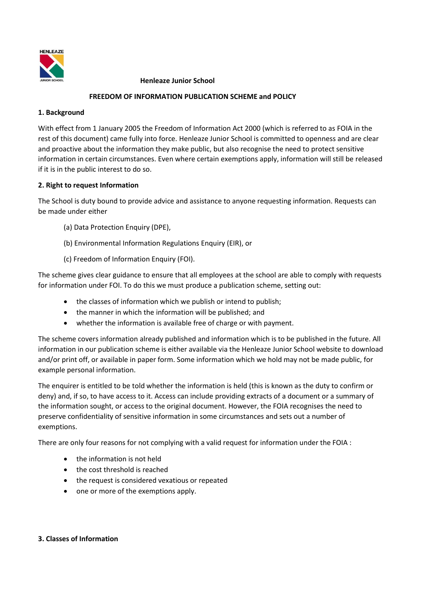

#### **Henleaze Junior School**

# **FREEDOM OF INFORMATION PUBLICATION SCHEME and POLICY**

#### **1. Background**

With effect from 1 January 2005 the Freedom of Information Act 2000 (which is referred to as FOIA in the rest of this document) came fully into force. Henleaze Junior School is committed to openness and are clear and proactive about the information they make public, but also recognise the need to protect sensitive information in certain circumstances. Even where certain exemptions apply, information will still be released if it is in the public interest to do so.

# **2. Right to request Information**

The School is duty bound to provide advice and assistance to anyone requesting information. Requests can be made under either

- (a) Data Protection Enquiry (DPE),
- (b) Environmental Information Regulations Enquiry (EIR), or
- (c) Freedom of Information Enquiry (FOI).

The scheme gives clear guidance to ensure that all employees at the school are able to comply with requests for information under FOI. To do this we must produce a publication scheme, setting out:

- the classes of information which we publish or intend to publish;
- the manner in which the information will be published; and
- whether the information is available free of charge or with payment.

The scheme covers information already published and information which is to be published in the future. All information in our publication scheme is either available via the Henleaze Junior School website to download and/or print off, or available in paper form. Some information which we hold may not be made public, for example personal information.

The enquirer is entitled to be told whether the information is held (this is known as the duty to confirm or deny) and, if so, to have access to it. Access can include providing extracts of a document or a summary of the information sought, or access to the original document. However, the FOIA recognises the need to preserve confidentiality of sensitive information in some circumstances and sets out a number of exemptions.

There are only four reasons for not complying with a valid request for information under the FOIA :

- the information is not held
- the cost threshold is reached
- the request is considered vexatious or repeated
- one or more of the exemptions apply.

#### **3. Classes of Information**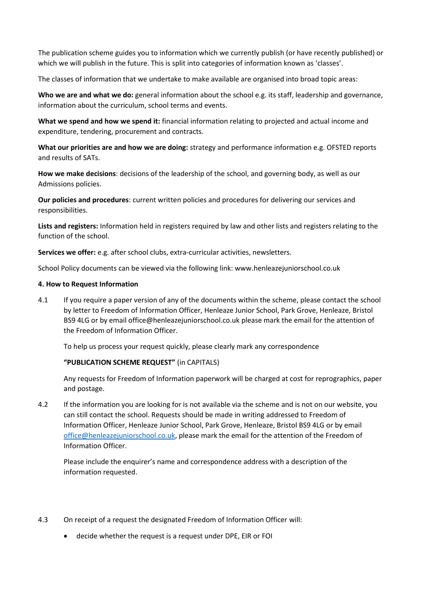The publication scheme guides you to information which we currently publish (or have recently published) or which we will publish in the future. This is split into categories of information known as 'classes'.

The classes of information that we undertake to make available are organised into broad topic areas:

**Who we are and what we do:** general information about the school e.g. its staff, leadership and governance, information about the curriculum, school terms and events.

**What we spend and how we spend it:** financial information relating to projected and actual income and expenditure, tendering, procurement and contracts.

**What our priorities are and how we are doing:** strategy and performance information e.g. OFSTED reports and results of SATs.

**How we make decisions**: decisions of the leadership of the school, and governing body, as well as our Admissions policies.

**Our policies and procedures**: current written policies and procedures for delivering our services and responsibilities.

**Lists and registers:** Information held in registers required by law and other lists and registers relating to the function of the school.

**Services we offer:** e.g. after school clubs, extra-curricular activities, newsletters.

School Policy documents can be viewed via the following link: www.henleazejuniorschool.co.uk

#### **4. How to Request Information**

4.1 If you require a paper version of any of the documents within the scheme, please contact the school by letter to Freedom of Information Officer, Henleaze Junior School, Park Grove, Henleaze, Bristol BS9 4LG or by email office@henleazejuniorschool.co.uk please mark the email for the attention of the Freedom of Information Officer.

To help us process your request quickly, please clearly mark any correspondence

#### **"PUBLICATION SCHEME REQUEST"** (in CAPITALS)

Any requests for Freedom of Information paperwork will be charged at cost for reprographics, paper and postage.

4.2 If the information you are looking for is not available via the scheme and is not on our website, you can still contact the school. Requests should be made in writing addressed to Freedom of Information Officer, Henleaze Junior School, Park Grove, Henleaze, Bristol BS9 4LG or by email [office@henleazejuniorschool.co.uk,](mailto:office@henleazejuniorschool.co.uk) please mark the email for the attention of the Freedom of Information Officer.

Please include the enquirer's name and correspondence address with a description of the information requested.

- 4.3 On receipt of a request the designated Freedom of Information Officer will:
	- decide whether the request is a request under DPE, EIR or FOI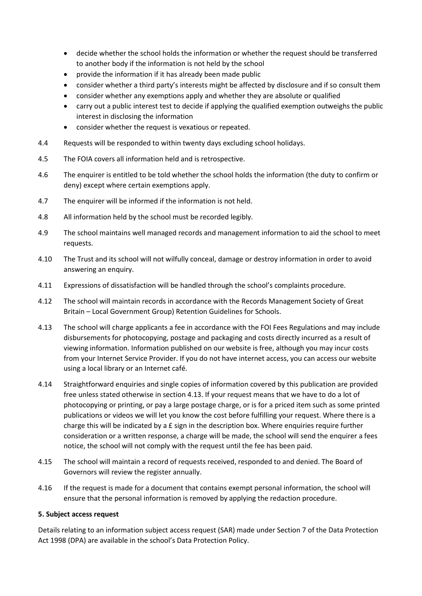- decide whether the school holds the information or whether the request should be transferred to another body if the information is not held by the school
- provide the information if it has already been made public
- consider whether a third party's interests might be affected by disclosure and if so consult them
- consider whether any exemptions apply and whether they are absolute or qualified
- carry out a public interest test to decide if applying the qualified exemption outweighs the public interest in disclosing the information
- consider whether the request is vexatious or repeated.
- 4.4 Requests will be responded to within twenty days excluding school holidays.
- 4.5 The FOIA covers all information held and is retrospective.
- 4.6 The enquirer is entitled to be told whether the school holds the information (the duty to confirm or deny) except where certain exemptions apply.
- 4.7 The enquirer will be informed if the information is not held.
- 4.8 All information held by the school must be recorded legibly.
- 4.9 The school maintains well managed records and management information to aid the school to meet requests.
- 4.10 The Trust and its school will not wilfully conceal, damage or destroy information in order to avoid answering an enquiry.
- 4.11 Expressions of dissatisfaction will be handled through the school's complaints procedure.
- 4.12 The school will maintain records in accordance with the Records Management Society of Great Britain – Local Government Group) Retention Guidelines for Schools.
- 4.13 The school will charge applicants a fee in accordance with the FOI Fees Regulations and may include disbursements for photocopying, postage and packaging and costs directly incurred as a result of viewing information. Information published on our website is free, although you may incur costs from your Internet Service Provider. If you do not have internet access, you can access our website using a local library or an Internet café.
- 4.14 Straightforward enquiries and single copies of information covered by this publication are provided free unless stated otherwise in section 4.13. If your request means that we have to do a lot of photocopying or printing, or pay a large postage charge, or is for a priced item such as some printed publications or videos we will let you know the cost before fulfilling your request. Where there is a charge this will be indicated by a  $E$  sign in the description box. Where enquiries require further consideration or a written response, a charge will be made, the school will send the enquirer a fees notice, the school will not comply with the request until the fee has been paid.
- 4.15 The school will maintain a record of requests received, responded to and denied. The Board of Governors will review the register annually.
- 4.16 If the request is made for a document that contains exempt personal information, the school will ensure that the personal information is removed by applying the redaction procedure.

#### **5. Subject access request**

Details relating to an information subject access request (SAR) made under Section 7 of the Data Protection Act 1998 (DPA) are available in the school's Data Protection Policy.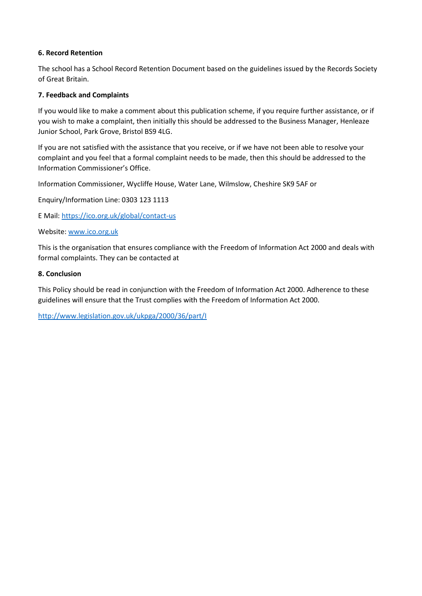# **6. Record Retention**

The school has a School Record Retention Document based on the guidelines issued by the Records Society of Great Britain.

# **7. Feedback and Complaints**

If you would like to make a comment about this publication scheme, if you require further assistance, or if you wish to make a complaint, then initially this should be addressed to the Business Manager, Henleaze Junior School, Park Grove, Bristol BS9 4LG.

If you are not satisfied with the assistance that you receive, or if we have not been able to resolve your complaint and you feel that a formal complaint needs to be made, then this should be addressed to the Information Commissioner's Office.

Information Commissioner, Wycliffe House, Water Lane, Wilmslow, Cheshire SK9 5AF or

Enquiry/Information Line: 0303 123 1113

E Mail:<https://ico.org.uk/global/contact-us>

Website: [www.ico.org.uk](http://www.ico.org.uk/)

This is the organisation that ensures compliance with the Freedom of Information Act 2000 and deals with formal complaints. They can be contacted at

# **8. Conclusion**

This Policy should be read in conjunction with the Freedom of Information Act 2000. Adherence to these guidelines will ensure that the Trust complies with the Freedom of Information Act 2000.

<http://www.legislation.gov.uk/ukpga/2000/36/part/I>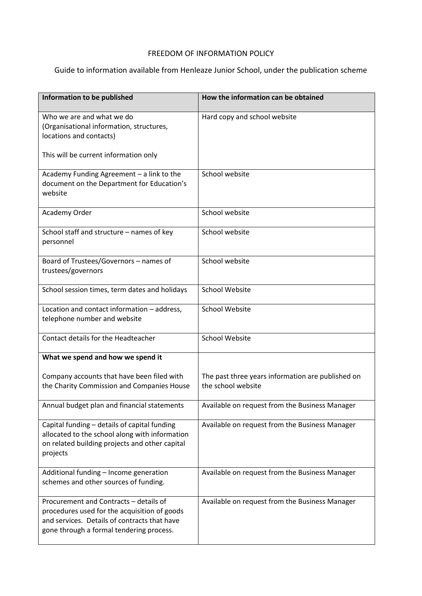# FREEDOM OF INFORMATION POLICY

# Guide to information available from Henleaze Junior School, under the publication scheme

| Information to be published                                                                                                                                                        | How the information can be obtained                                     |
|------------------------------------------------------------------------------------------------------------------------------------------------------------------------------------|-------------------------------------------------------------------------|
| Who we are and what we do<br>(Organisational information, structures,<br>locations and contacts)                                                                                   | Hard copy and school website                                            |
| This will be current information only                                                                                                                                              |                                                                         |
| Academy Funding Agreement - a link to the<br>document on the Department for Education's<br>website                                                                                 | School website                                                          |
| Academy Order                                                                                                                                                                      | School website                                                          |
| School staff and structure - names of key<br>personnel                                                                                                                             | School website                                                          |
| Board of Trustees/Governors - names of<br>trustees/governors                                                                                                                       | School website                                                          |
| School session times, term dates and holidays                                                                                                                                      | <b>School Website</b>                                                   |
| Location and contact information - address,<br>telephone number and website                                                                                                        | <b>School Website</b>                                                   |
| Contact details for the Headteacher                                                                                                                                                | <b>School Website</b>                                                   |
| What we spend and how we spend it                                                                                                                                                  |                                                                         |
| Company accounts that have been filed with<br>the Charity Commission and Companies House                                                                                           | The past three years information are published on<br>the school website |
| Annual budget plan and financial statements                                                                                                                                        | Available on request from the Business Manager                          |
| Capital funding - details of capital funding<br>allocated to the school along with information<br>on related building projects and other capital<br>projects                       | Available on request from the Business Manager                          |
| Additional funding - Income generation<br>schemes and other sources of funding.                                                                                                    | Available on request from the Business Manager                          |
| Procurement and Contracts - details of<br>procedures used for the acquisition of goods<br>and services. Details of contracts that have<br>gone through a formal tendering process. | Available on request from the Business Manager                          |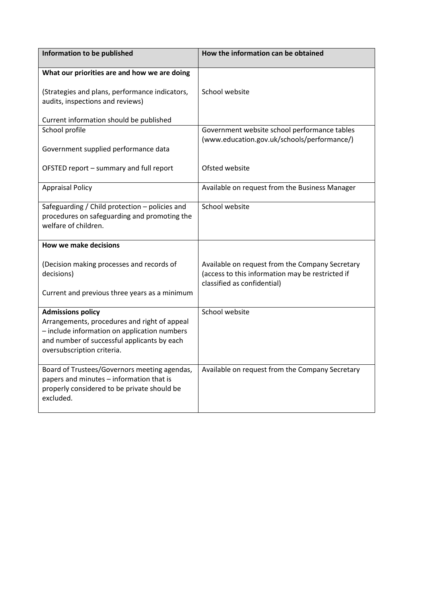| Information to be published                                                                                                                                                                           | How the information can be obtained                                                                                                |
|-------------------------------------------------------------------------------------------------------------------------------------------------------------------------------------------------------|------------------------------------------------------------------------------------------------------------------------------------|
| What our priorities are and how we are doing                                                                                                                                                          |                                                                                                                                    |
| (Strategies and plans, performance indicators,<br>audits, inspections and reviews)                                                                                                                    | School website                                                                                                                     |
| Current information should be published                                                                                                                                                               |                                                                                                                                    |
| School profile                                                                                                                                                                                        | Government website school performance tables                                                                                       |
| Government supplied performance data                                                                                                                                                                  | (www.education.gov.uk/schools/performance/)                                                                                        |
| OFSTED report - summary and full report                                                                                                                                                               | Ofsted website                                                                                                                     |
| <b>Appraisal Policy</b>                                                                                                                                                                               | Available on request from the Business Manager                                                                                     |
| Safeguarding / Child protection - policies and<br>procedures on safeguarding and promoting the<br>welfare of children.                                                                                | School website                                                                                                                     |
| <b>How we make decisions</b>                                                                                                                                                                          |                                                                                                                                    |
| (Decision making processes and records of<br>decisions)                                                                                                                                               | Available on request from the Company Secretary<br>(access to this information may be restricted if<br>classified as confidential) |
| Current and previous three years as a minimum                                                                                                                                                         |                                                                                                                                    |
| <b>Admissions policy</b><br>Arrangements, procedures and right of appeal<br>- include information on application numbers<br>and number of successful applicants by each<br>oversubscription criteria. | School website                                                                                                                     |
| Board of Trustees/Governors meeting agendas,<br>papers and minutes - information that is<br>properly considered to be private should be<br>excluded.                                                  | Available on request from the Company Secretary                                                                                    |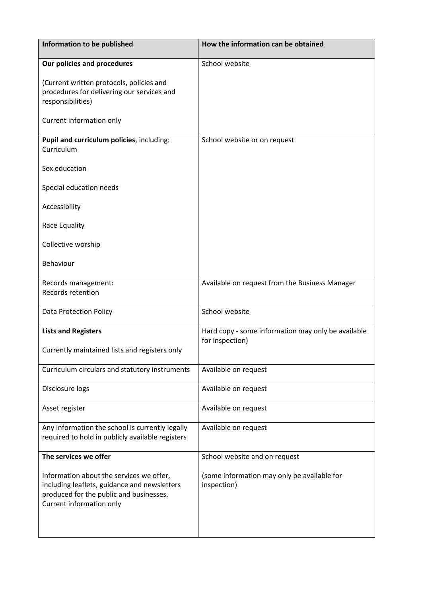| Information to be published                                                                                                                                     | How the information can be obtained                                   |
|-----------------------------------------------------------------------------------------------------------------------------------------------------------------|-----------------------------------------------------------------------|
| Our policies and procedures                                                                                                                                     | School website                                                        |
| (Current written protocols, policies and<br>procedures for delivering our services and<br>responsibilities)                                                     |                                                                       |
| Current information only                                                                                                                                        |                                                                       |
| Pupil and curriculum policies, including:<br>Curriculum                                                                                                         | School website or on request                                          |
| Sex education                                                                                                                                                   |                                                                       |
| Special education needs                                                                                                                                         |                                                                       |
| Accessibility                                                                                                                                                   |                                                                       |
| Race Equality                                                                                                                                                   |                                                                       |
| Collective worship                                                                                                                                              |                                                                       |
| Behaviour                                                                                                                                                       |                                                                       |
| Records management:                                                                                                                                             | Available on request from the Business Manager                        |
| Records retention                                                                                                                                               |                                                                       |
| <b>Data Protection Policy</b>                                                                                                                                   | School website                                                        |
| <b>Lists and Registers</b>                                                                                                                                      | Hard copy - some information may only be available<br>for inspection) |
| Currently maintained lists and registers only                                                                                                                   |                                                                       |
| Curriculum circulars and statutory instruments                                                                                                                  | Available on request                                                  |
| Disclosure logs                                                                                                                                                 | Available on request                                                  |
| Asset register                                                                                                                                                  | Available on request                                                  |
| Any information the school is currently legally<br>required to hold in publicly available registers                                                             | Available on request                                                  |
| The services we offer                                                                                                                                           | School website and on request                                         |
| Information about the services we offer,<br>including leaflets, guidance and newsletters<br>produced for the public and businesses.<br>Current information only | (some information may only be available for<br>inspection)            |
|                                                                                                                                                                 |                                                                       |